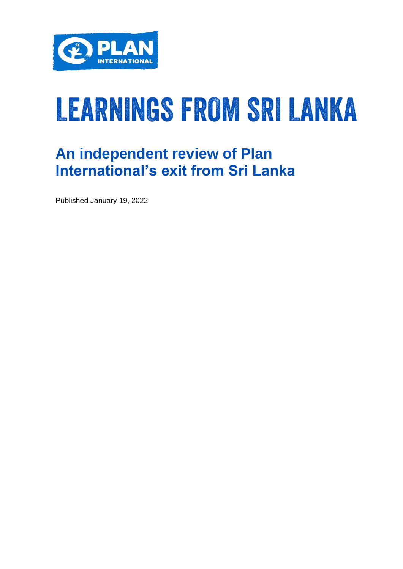

# LEARNINGS FROM SRI LANKA

### **An independent review of Plan International's exit from Sri Lanka**

Published January 19, 2022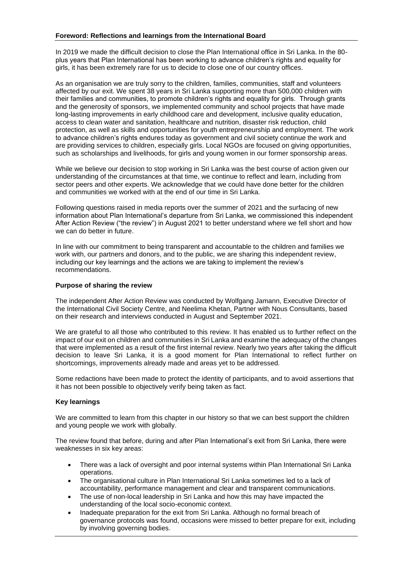In 2019 we made the difficult decision to close the Plan International office in Sri Lanka. In the 80 plus years that Plan International has been working to advance children's rights and equality for girls, it has been extremely rare for us to decide to close one of our country offices.

As an organisation we are truly sorry to the children, families, communities, staff and volunteers affected by our exit. We spent 38 years in Sri Lanka supporting more than 500,000 children with their families and communities, to promote children's rights and equality for girls. Through grants and the generosity of sponsors, we implemented community and school projects that have made long-lasting improvements in early childhood care and development, inclusive quality education, access to clean water and sanitation, healthcare and nutrition, disaster risk reduction, child protection, as well as skills and opportunities for youth entrepreneurship and employment. The work to advance children's rights endures today as government and civil society continue the work and are providing services to children, especially girls. Local NGOs are focused on giving opportunities, such as scholarships and livelihoods, for girls and young women in our former sponsorship areas.

While we believe our decision to stop working in Sri Lanka was the best course of action given our understanding of the circumstances at that time, we continue to reflect and learn, including from sector peers and other experts. We acknowledge that we could have done better for the children and communities we worked with at the end of our time in Sri Lanka.

Following questions raised in media reports over the summer of 2021 and the surfacing of new information about Plan International's departure from Sri Lanka, we commissioned this independent After Action Review ("the review") in August 2021 to better understand where we fell short and how we can do better in future.

In line with our commitment to being transparent and accountable to the children and families we work with, our partners and donors, and to the public, we are sharing this independent review, including our key learnings and the actions we are taking to implement the review's recommendations.

#### **Purpose of sharing the review**

The independent After Action Review was conducted by Wolfgang Jamann, Executive Director of the International Civil Society Centre, and Neelima Khetan, Partner with Nous Consultants, based on their research and interviews conducted in August and September 2021.

We are grateful to all those who contributed to this review. It has enabled us to further reflect on the impact of our exit on children and communities in Sri Lanka and examine the adequacy of the changes that were implemented as a result of the first internal review. Nearly two years after taking the difficult decision to leave Sri Lanka, it is a good moment for Plan International to reflect further on shortcomings, improvements already made and areas yet to be addressed.

Some redactions have been made to protect the identity of participants, and to avoid assertions that it has not been possible to objectively verify being taken as fact.

#### **Key learnings**

We are committed to learn from this chapter in our history so that we can best support the children and young people we work with globally.

The review found that before, during and after Plan International's exit from Sri Lanka, there were weaknesses in six key areas:

- There was a lack of oversight and poor internal systems within Plan International Sri Lanka operations.
- The organisational culture in Plan International Sri Lanka sometimes led to a lack of accountability, performance management and clear and transparent communications.
- The use of non-local leadership in Sri Lanka and how this may have impacted the understanding of the local socio-economic context.
- Inadequate preparation for the exit from Sri Lanka. Although no formal breach of governance protocols was found, occasions were missed to better prepare for exit, including by involving governing bodies.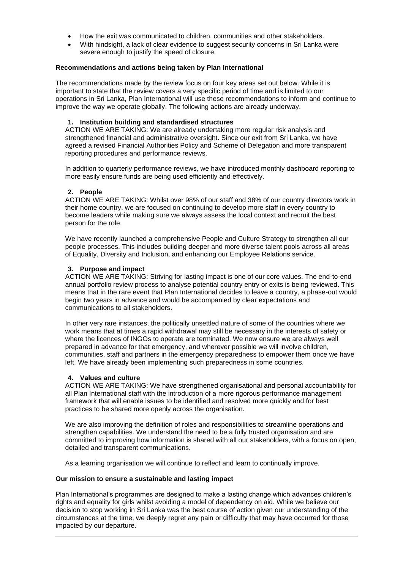- How the exit was communicated to children, communities and other stakeholders.
- With hindsight, a lack of clear evidence to suggest security concerns in Sri Lanka were severe enough to justify the speed of closure.

#### **Recommendations and actions being taken by Plan International**

The recommendations made by the review focus on four key areas set out below. While it is important to state that the review covers a very specific period of time and is limited to our operations in Sri Lanka, Plan International will use these recommendations to inform and continue to improve the way we operate globally. The following actions are already underway.

#### **1. Institution building and standardised structures**

ACTION WE ARE TAKING: We are already undertaking more regular risk analysis and strengthened financial and administrative oversight. Since our exit from Sri Lanka, we have agreed a revised Financial Authorities Policy and Scheme of Delegation and more transparent reporting procedures and performance reviews.

In addition to quarterly performance reviews, we have introduced monthly dashboard reporting to more easily ensure funds are being used efficiently and effectively.

#### **2. People**

ACTION WE ARE TAKING: Whilst over 98% of our staff and 38% of our country directors work in their home country, we are focused on continuing to develop more staff in every country to become leaders while making sure we always assess the local context and recruit the best person for the role.

We have recently launched a comprehensive People and Culture Strategy to strengthen all our people processes. This includes building deeper and more diverse talent pools across all areas of Equality, Diversity and Inclusion, and enhancing our Employee Relations service.

#### **3. Purpose and impact**

ACTION WE ARE TAKING: Striving for lasting impact is one of our core values. The end-to-end annual portfolio review process to analyse potential country entry or exits is being reviewed. This means that in the rare event that Plan International decides to leave a country, a phase-out would begin two years in advance and would be accompanied by clear expectations and communications to all stakeholders.

In other very rare instances, the politically unsettled nature of some of the countries where we work means that at times a rapid withdrawal may still be necessary in the interests of safety or where the licences of INGOs to operate are terminated. We now ensure we are always well prepared in advance for that emergency, and wherever possible we will involve children, communities, staff and partners in the emergency preparedness to empower them once we have left. We have already been implementing such preparedness in some countries.

#### **4. Values and culture**

ACTION WE ARE TAKING: We have strengthened organisational and personal accountability for all Plan International staff with the introduction of a more rigorous performance management framework that will enable issues to be identified and resolved more quickly and for best practices to be shared more openly across the organisation.

We are also improving the definition of roles and responsibilities to streamline operations and strengthen capabilities. We understand the need to be a fully trusted organisation and are committed to improving how information is shared with all our stakeholders, with a focus on open, detailed and transparent communications.

As a learning organisation we will continue to reflect and learn to continually improve.

#### **Our mission to ensure a sustainable and lasting impact**

Plan International's programmes are designed to make a lasting change which advances children's rights and equality for girls whilst avoiding a model of dependency on aid. While we believe our decision to stop working in Sri Lanka was the best course of action given our understanding of the circumstances at the time, we deeply regret any pain or difficulty that may have occurred for those impacted by our departure.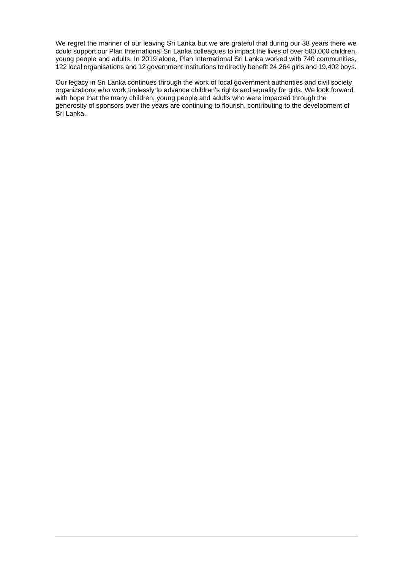We regret the manner of our leaving Sri Lanka but we are grateful that during our 38 years there we could support our Plan International Sri Lanka colleagues to impact the lives of over 500,000 children, young people and adults. In 2019 alone, Plan International Sri Lanka worked with 740 communities, 122 local organisations and 12 government institutions to directly benefit 24,264 girls and 19,402 boys.

Our legacy in Sri Lanka continues through the work of local government authorities and civil society organizations who work tirelessly to advance children's rights and equality for girls. We look forward with hope that the many children, young people and adults who were impacted through the generosity of sponsors over the years are continuing to flourish, contributing to the development of Sri Lanka.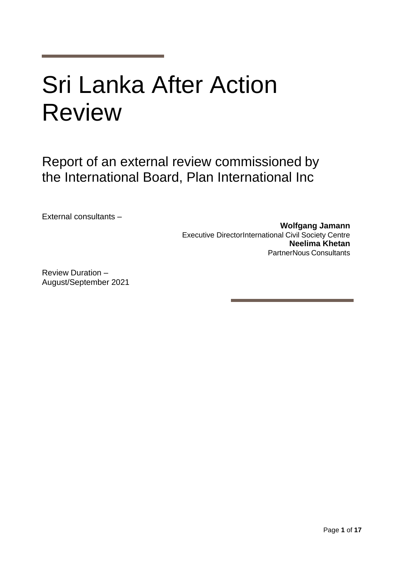## Sri Lanka After Action Review

Report of an external review commissioned by the International Board, Plan International Inc

External consultants –

**Wolfgang Jamann** Executive DirectorInternational Civil Society Centre **Neelima Khetan** PartnerNous Consultants

Review Duration – August/September 2021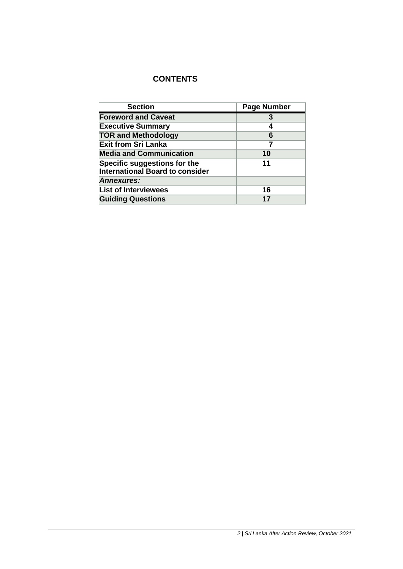#### **CONTENTS**

| <b>Section</b>                                                         | <b>Page Number</b> |
|------------------------------------------------------------------------|--------------------|
| <b>Foreword and Caveat</b>                                             | 3                  |
| <b>Executive Summary</b>                                               | 4                  |
| <b>TOR and Methodology</b>                                             | 6                  |
| <b>Exit from Sri Lanka</b>                                             | 7                  |
| <b>Media and Communication</b>                                         | 10                 |
| Specific suggestions for the<br><b>International Board to consider</b> | 11                 |
| <b>Annexures:</b>                                                      |                    |
| <b>List of Interviewees</b>                                            | 16                 |
| <b>Guiding Questions</b>                                               | 17                 |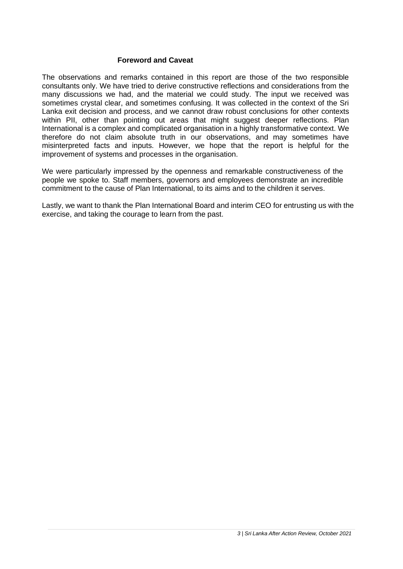#### **Foreword and Caveat**

The observations and remarks contained in this report are those of the two responsible consultants only. We have tried to derive constructive reflections and considerations from the many discussions we had, and the material we could study. The input we received was sometimes crystal clear, and sometimes confusing. It was collected in the context of the Sri Lanka exit decision and process, and we cannot draw robust conclusions for other contexts within PII, other than pointing out areas that might suggest deeper reflections. Plan International is a complex and complicated organisation in a highly transformative context. We therefore do not claim absolute truth in our observations, and may sometimes have misinterpreted facts and inputs. However, we hope that the report is helpful for the improvement of systems and processes in the organisation.

We were particularly impressed by the openness and remarkable constructiveness of the people we spoke to. Staff members, governors and employees demonstrate an incredible commitment to the cause of Plan International, to its aims and to the children it serves.

Lastly, we want to thank the Plan International Board and interim CEO for entrusting us with the exercise, and taking the courage to learn from the past.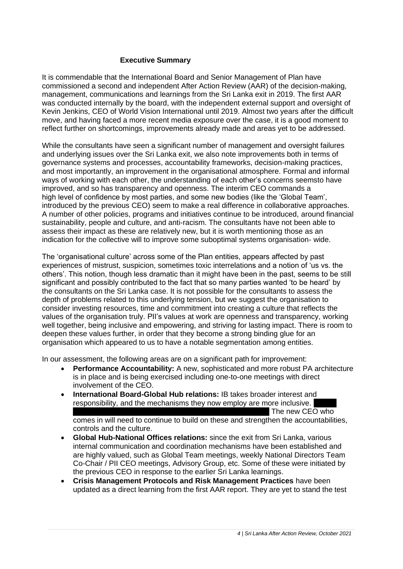#### **Executive Summary**

It is commendable that the International Board and Senior Management of Plan have commissioned a second and independent After Action Review (AAR) of the decision-making, management, communications and learnings from the Sri Lanka exit in 2019. The first AAR was conducted internally by the board, with the independent external support and oversight of Kevin Jenkins, CEO of World Vision International until 2019. Almost two years after the difficult move, and having faced a more recent media exposure over the case, it is a good moment to reflect further on shortcomings, improvements already made and areas yet to be addressed.

While the consultants have seen a significant number of management and oversight failures and underlying issues over the Sri Lanka exit, we also note improvements both in terms of governance systems and processes, accountability frameworks, decision-making practices, and most importantly, an improvement in the organisational atmosphere. Formal and informal ways of working with each other, the understanding of each other's concerns seemsto have improved, and so has transparency and openness. The interim CEO commands a high level of confidence by most parties, and some new bodies (like the 'Global Team', introduced by the previous CEO) seem to make a real difference in collaborative approaches. A number of other policies, programs and initiatives continue to be introduced, around financial sustainability, people and culture, and anti-racism. The consultants have not been able to assess their impact as these are relatively new, but it is worth mentioning those as an indication for the collective will to improve some suboptimal systems organisation- wide.

The 'organisational culture' across some of the Plan entities, appears affected by past experiences of mistrust, suspicion, sometimes toxic interrelations and a notion of 'us vs. the others'. This notion, though less dramatic than it might have been in the past, seems to be still significant and possibly contributed to the fact that so many parties wanted 'to be heard' by the consultants on the Sri Lanka case. It is not possible for the consultants to assess the depth of problems related to this underlying tension, but we suggest the organisation to consider investing resources, time and commitment into creating a culture that reflects the values of the organisation truly. PII's values at work are openness and transparency, working well together, being inclusive and empowering, and striving for lasting impact. There is room to deepen these values further, in order that they become a strong binding glue for an organisation which appeared to us to have a notable segmentation among entities.

In our assessment, the following areas are on a significant path for improvement:

- **Performance Accountability:** A new, sophisticated and more robust PA architecture is in place and is being exercised including one-to-one meetings with direct involvement of the CEO.
- **International Board-Global Hub relations:** IB takes broader interest and responsibility, and the mechanisms they now employ are more inclusive. The new CEO who comes in will need to continue to build on these and strengthen the accountabilities, controls and the culture.
- **Global Hub-National Offices relations:** since the exit from Sri Lanka, various internal communication and coordination mechanisms have been established and are highly valued, such as Global Team meetings, weekly National Directors Team Co-Chair / PII CEO meetings, Advisory Group, etc. Some of these were initiated by the previous CEO in response to the earlier Sri Lanka learnings.
- **Crisis Management Protocols and Risk Management Practices** have been updated as a direct learning from the first AAR report. They are yet to stand the test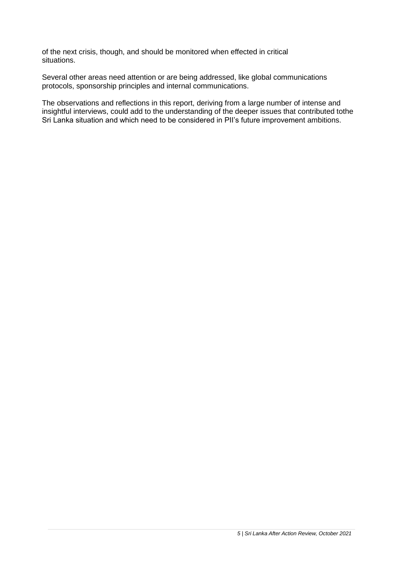of the next crisis, though, and should be monitored when effected in critical situations.

Several other areas need attention or are being addressed, like global communications protocols, sponsorship principles and internal communications.

The observations and reflections in this report, deriving from a large number of intense and insightful interviews, could add to the understanding of the deeper issues that contributed tothe Sri Lanka situation and which need to be considered in PII's future improvement ambitions.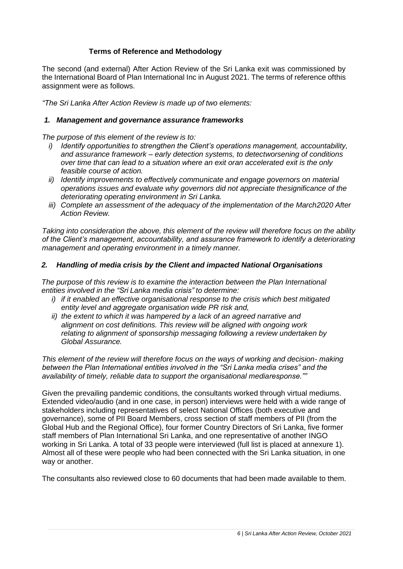#### **Terms of Reference and Methodology**

The second (and external) After Action Review of the Sri Lanka exit was commissioned by the International Board of Plan International Inc in August 2021. The terms of reference ofthis assignment were as follows.

*"The Sri Lanka After Action Review is made up of two elements:*

#### *1. Management and governance assurance frameworks*

*The purpose of this element of the review is to:*

- *i) Identify opportunities to strengthen the Client's operations management, accountability, and assurance framework – early detection systems, to detectworsening of conditions over time that can lead to a situation where an exit oran accelerated exit is the only feasible course of action.*
- *ii) Identify improvements to effectively communicate and engage governors on material operations issues and evaluate why governors did not appreciate thesignificance of the deteriorating operating environment in Sri Lanka.*
- *iii) Complete an assessment of the adequacy of the implementation of the March2020 After Action Review.*

*Taking into consideration the above, this element of the review will therefore focus on the ability of the Client's management, accountability, and assurance framework to identify a deteriorating management and operating environment in a timely manner.*

#### *2. Handling of media crisis by the Client and impacted National Organisations*

*The purpose of this review is to examine the interaction between the Plan International entities involved in the "Sri Lanka media crisis" to determine:*

- *i) if it enabled an effective organisational response to the crisis which best mitigated entity level and aggregate organisation wide PR risk and,*
- *ii) the extent to which it was hampered by a lack of an agreed narrative and alignment on cost definitions. This review will be aligned with ongoing work relating to alignment of sponsorship messaging following a review undertaken by Global Assurance.*

*This element of the review will therefore focus on the ways of working and decision- making between the Plan International entities involved in the "Sri Lanka media crises" and the availability of timely, reliable data to support the organisational mediaresponse.""*

Given the prevailing pandemic conditions, the consultants worked through virtual mediums. Extended video/audio (and in one case, in person) interviews were held with a wide range of stakeholders including representatives of select National Offices (both executive and governance), some of PII Board Members, cross section of staff members of PII (from the Global Hub and the Regional Office), four former Country Directors of Sri Lanka, five former staff members of Plan International Sri Lanka, and one representative of another INGO working in Sri Lanka. A total of 33 people were interviewed (full list is placed at annexure 1). Almost all of these were people who had been connected with the Sri Lanka situation, in one way or another.

The consultants also reviewed close to 60 documents that had been made available to them.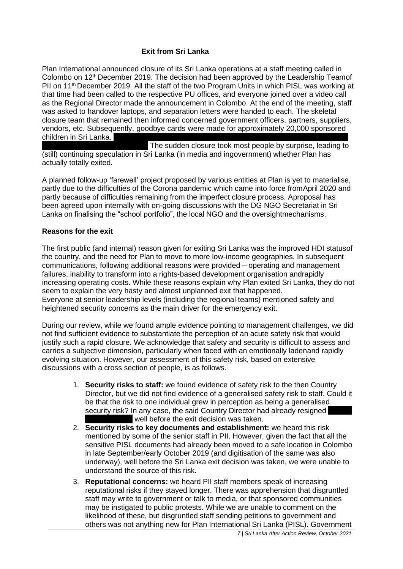#### **Exit from Sri Lanka**

Plan International announced closure of its Sri Lanka operations at a staff meeting called in Colombo on 12<sup>th</sup> December 2019. The decision had been approved by the Leadership Teamof PII on  $11<sup>th</sup>$  December 2019. All the staff of the two Program Units in which PISL was working at that time had been called to the respective PU offices, and everyone joined over a video call as the Regional Director made the announcement in Colombo. At the end of the meeting, staff was asked to handover laptops, and separation letters were handed to each. The skeletal closure team that remained then informed concerned government officers, partners, suppliers, vendors, etc. Subsequently, goodbye cards were made for approximately 20,000 sponsored children in Sri Lanka.

The sudden closure took most people by surprise, leading to (still) continuing speculation in Sri Lanka (in media and ingovernment) whether Plan has actually totally exited.

A planned follow-up 'farewell' project proposed by various entities at Plan is yet to materialise, partly due to the difficulties of the Corona pandemic which came into force fromApril 2020 and partly because of difficulties remaining from the imperfect closure process. Aproposal has been agreed upon internally with on-going discussions with the DG NGO Secretariat in Sri Lanka on finalising the "school portfolio", the local NGO and the oversightmechanisms.

#### **Reasons for the exit**

The first public (and internal) reason given for exiting Sri Lanka was the improved HDI statusof the country, and the need for Plan to move to more low-income geographies. In subsequent communications, following additional reasons were provided – operating and management failures, inability to transform into a rights-based development organisation andrapidly increasing operating costs. While these reasons explain why Plan exited Sri Lanka, they do not seem to explain the very hasty and almost unplanned exit that happened. Everyone at senior leadership levels (including the regional teams) mentioned safety and heightened security concerns as the main driver for the emergency exit.

During our review, while we found ample evidence pointing to management challenges, we did not find sufficient evidence to substantiate the perception of an acute safety risk that would justify such a rapid closure. We acknowledge that safety and security is difficult to assess and carries a subjective dimension, particularly when faced with an emotionally ladenand rapidly evolving situation. However, our assessment of this safety risk, based on extensive discussions with a cross section of people, is as follows.

- 1. **Security risks to staff:** we found evidence of safety risk to the then Country Director, but we did not find evidence of a generalised safety risk to staff. Could it be that the risk to one individual grew in perception as being a generalised security risk? In any case, the said Country Director had already resigned well before the exit decision was taken.
- 2. **Security risks to key documents and establishment:** we heard this risk mentioned by some of the senior staff in PII. However, given the fact that all the sensitive PISL documents had already been moved to a safe location in Colombo in late September/early October 2019 (and digitisation of the same was also underway), well before the Sri Lanka exit decision was taken, we were unable to understand the source of this risk.
- 3. **Reputational concerns:** we heard PII staff members speak of increasing reputational risks if they stayed longer. There was apprehension that disgruntled staff may write to government or talk to media, or that sponsored communities may be instigated to public protests. While we are unable to comment on the likelihood of these, but disgruntled staff sending petitions to government and others was not anything new for Plan International Sri Lanka (PISL). Government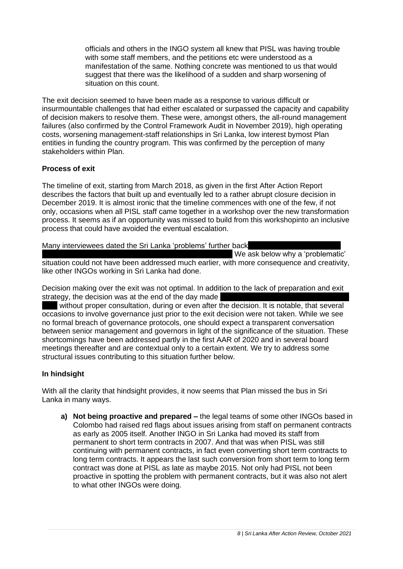officials and others in the INGO system all knew that PISL was having trouble with some staff members, and the petitions etc were understood as a manifestation of the same. Nothing concrete was mentioned to us that would suggest that there was the likelihood of a sudden and sharp worsening of situation on this count.

The exit decision seemed to have been made as a response to various difficult or insurmountable challenges that had either escalated or surpassed the capacity and capability of decision makers to resolve them. These were, amongst others, the all-round management failures (also confirmed by the Control Framework Audit in November 2019), high operating costs, worsening management-staff relationships in Sri Lanka, low interest bymost Plan entities in funding the country program. This was confirmed by the perception of many stakeholders within Plan.

#### **Process of exit**

The timeline of exit, starting from March 2018, as given in the first After Action Report describes the factors that built up and eventually led to a rather abrupt closure decision in December 2019. It is almost ironic that the timeline commences with one of the few, if not only, occasions when all PISL staff came together in a workshop over the new transformation process. It seems as if an opportunity was missed to build from this workshopinto an inclusive process that could have avoided the eventual escalation.

#### Many interviewees dated the Sri Lanka 'problems' further back

We ask below why a 'problematic'

situation could not have been addressed much earlier, with more consequence and creativity, like other INGOs working in Sri Lanka had done.

Decision making over the exit was not optimal. In addition to the lack of preparation and exit strategy, the decision was at the end of the day made

without proper consultation, during or even after the decision. It is notable, that several occasions to involve governance just prior to the exit decision were not taken. While we see no formal breach of governance protocols, one should expect a transparent conversation between senior management and governors in light of the significance of the situation. These shortcomings have been addressed partly in the first AAR of 2020 and in several board meetings thereafter and are contextual only to a certain extent. We try to address some structural issues contributing to this situation further below.

#### **In hindsight**

With all the clarity that hindsight provides, it now seems that Plan missed the bus in Sri Lanka in many ways.

**a) Not being proactive and prepared –** the legal teams of some other INGOs based in Colombo had raised red flags about issues arising from staff on permanent contracts as early as 2005 itself. Another INGO in Sri Lanka had moved its staff from permanent to short term contracts in 2007. And that was when PISL was still continuing with permanent contracts, in fact even converting short term contracts to long term contracts. It appears the last such conversion from short term to long term contract was done at PISL as late as maybe 2015. Not only had PISL not been proactive in spotting the problem with permanent contracts, but it was also not alert to what other INGOs were doing.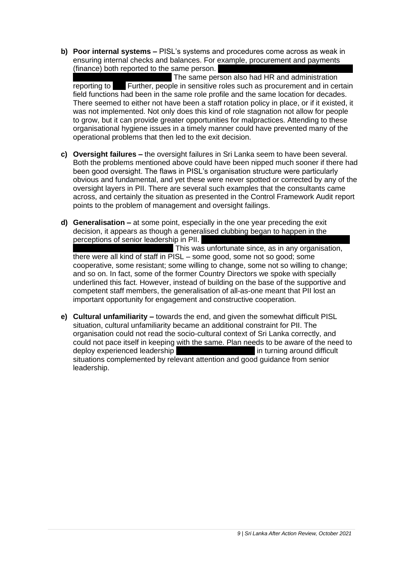**b) Poor internal systems –** PISL's systems and procedures come across as weak in ensuring internal checks and balances. For example, procurement and payments (finance) both reported to the same person.

The same person also had HR and administration reporting to **Further, people in sensitive roles such as procurement and in certain** field functions had been in the same role profile and the same location for decades. There seemed to either not have been a staff rotation policy in place, or if it existed, it was not implemented. Not only does this kind of role stagnation not allow for people to grow, but it can provide greater opportunities for malpractices. Attending to these organisational hygiene issues in a timely manner could have prevented many of the operational problems that then led to the exit decision.

- **c) Oversight failures –** the oversight failures in Sri Lanka seem to have been several. Both the problems mentioned above could have been nipped much sooner if there had been good oversight. The flaws in PISL's organisation structure were particularly obvious and fundamental, and yet these were never spotted or corrected by any of the oversight layers in PII. There are several such examples that the consultants came across, and certainly the situation as presented in the Control Framework Audit report points to the problem of management and oversight failings.
- **d) Generalisation –** at some point, especially in the one year preceding the exit decision, it appears as though a generalised clubbing began to happen in the perceptions of senior leadership in PII. This was unfortunate since, as in any organisation, there were all kind of staff in PISL – some good, some not so good; some cooperative, some resistant; some willing to change, some not so willing to change; and so on. In fact, some of the former Country Directors we spoke with specially underlined this fact. However, instead of building on the base of the supportive and competent staff members, the generalisation of all-as-one meant that PII lost an important opportunity for engagement and constructive cooperation.
- **e) Cultural unfamiliarity –** towards the end, and given the somewhat difficult PISL situation, cultural unfamiliarity became an additional constraint for PII. The organisation could not read the socio-cultural context of Sri Lanka correctly, and could not pace itself in keeping with the same. Plan needs to be aware of the need to deploy experienced leadership with cultural interligence intelligence in turning around difficult situations complemented by relevant attention and good guidance from senior leadership.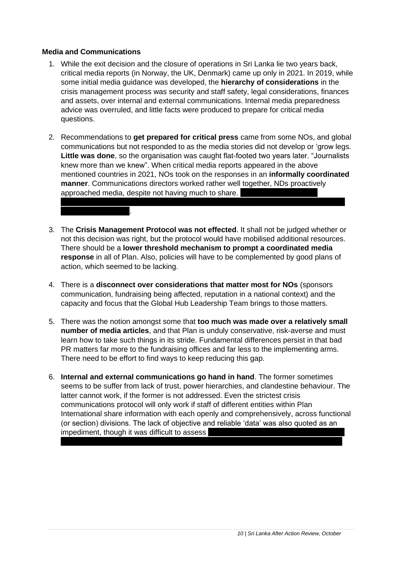#### **Media and Communications**

sun' media handling).

- 1. While the exit decision and the closure of operations in Sri Lanka lie two years back, critical media reports (in Norway, the UK, Denmark) came up only in 2021. In 2019, while some initial media guidance was developed, the **hierarchy of considerations** in the crisis management process was security and staff safety, legal considerations, finances and assets, over internal and external communications. Internal media preparedness advice was overruled, and little facts were produced to prepare for critical media questions.
- 2. Recommendations to **get prepared for critical press** came from some NOs, and global communications but not responded to as the media stories did not develop or 'grow legs. **Little was done**, so the organisation was caught flat-footed two years later. "Journalists knew more than we knew". When critical media reports appeared in the above mentioned countries in 2021, NOs took on the responses in an **informally coordinated manner**. Communications directors worked rather well together, NDs proactively approached media, despite not having much to share.
- 3. The **Crisis Management Protocol was not effected**. It shall not be judged whether or not this decision was right, but the protocol would have mobilised additional resources. There should be a **lower threshold mechanism to prompt a coordinated media response** in all of Plan. Also, policies will have to be complemented by good plans of action, which seemed to be lacking.
- 4. There is a **disconnect over considerations that matter most for NOs** (sponsors communication, fundraising being affected, reputation in a national context) and the capacity and focus that the Global Hub Leadership Team brings to those matters.
- 5. There was the notion amongst some that **too much was made over a relatively small number of media articles**, and that Plan is unduly conservative, risk-averse and must learn how to take such things in its stride. Fundamental differences persist in that bad PR matters far more to the fundraising offices and far less to the implementing arms. There need to be effort to find ways to keep reducing this gap.
- 6. **Internal and external communications go hand in hand**. The former sometimes seems to be suffer from lack of trust, power hierarchies, and clandestine behaviour. The latter cannot work, if the former is not addressed. Even the strictest crisis communications protocol will only work if staff of different entities within Plan International share information with each openly and comprehensively, across functional (or section) divisions. The lack of objective and reliable 'data' was also quoted as an impediment, though it was difficult to assess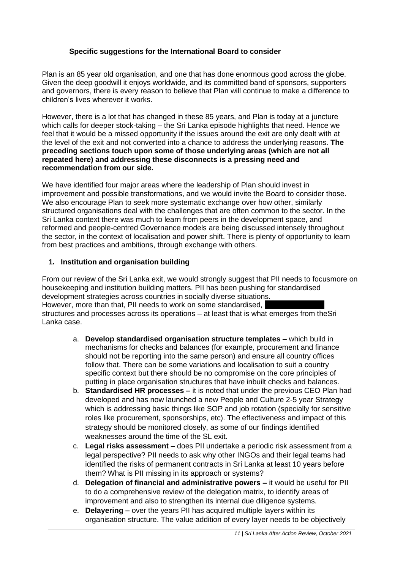#### **Specific suggestions for the International Board to consider**

Plan is an 85 year old organisation, and one that has done enormous good across the globe. Given the deep goodwill it enjoys worldwide, and its committed band of sponsors, supporters and governors, there is every reason to believe that Plan will continue to make a difference to children's lives wherever it works.

However, there is a lot that has changed in these 85 years, and Plan is today at a juncture which calls for deeper stock-taking – the Sri Lanka episode highlights that need. Hence we feel that it would be a missed opportunity if the issues around the exit are only dealt with at the level of the exit and not converted into a chance to address the underlying reasons. **The preceding sections touch upon some of those underlying areas (which are not all repeated here) and addressing these disconnects is a pressing need and recommendation from our side.**

We have identified four major areas where the leadership of Plan should invest in improvement and possible transformations, and we would invite the Board to consider those. We also encourage Plan to seek more systematic exchange over how other, similarly structured organisations deal with the challenges that are often common to the sector. In the Sri Lanka context there was much to learn from peers in the development space, and reformed and people-centred Governance models are being discussed intensely throughout the sector, in the context of localisation and power shift. There is plenty of opportunity to learn from best practices and ambitions, through exchange with others.

#### **1. Institution and organisation building**

From our review of the Sri Lanka exit, we would strongly suggest that PII needs to focusmore on housekeeping and institution building matters. PII has been pushing for standardised development strategies across countries in socially diverse situations. However, more than that, PII needs to work on some standardised, structures and processes across its operations – at least that is what emerges from theSri Lanka case.

- a. **Develop standardised organisation structure templates –** which build in mechanisms for checks and balances (for example, procurement and finance should not be reporting into the same person) and ensure all country offices follow that. There can be some variations and localisation to suit a country specific context but there should be no compromise on the core principles of putting in place organisation structures that have inbuilt checks and balances.
- b. **Standardised HR processes –** it is noted that under the previous CEO Plan had developed and has now launched a new People and Culture 2-5 year Strategy which is addressing basic things like SOP and job rotation (specially for sensitive roles like procurement, sponsorships, etc). The effectiveness and impact of this strategy should be monitored closely, as some of our findings identified weaknesses around the time of the SL exit.
- c. **Legal risks assessment –** does PII undertake a periodic risk assessment from a legal perspective? PII needs to ask why other INGOs and their legal teams had identified the risks of permanent contracts in Sri Lanka at least 10 years before them? What is PII missing in its approach or systems?
- d. **Delegation of financial and administrative powers –** it would be useful for PII to do a comprehensive review of the delegation matrix, to identify areas of improvement and also to strengthen its internal due diligence systems.
- e. **Delayering –** over the years PII has acquired multiple layers within its organisation structure. The value addition of every layer needs to be objectively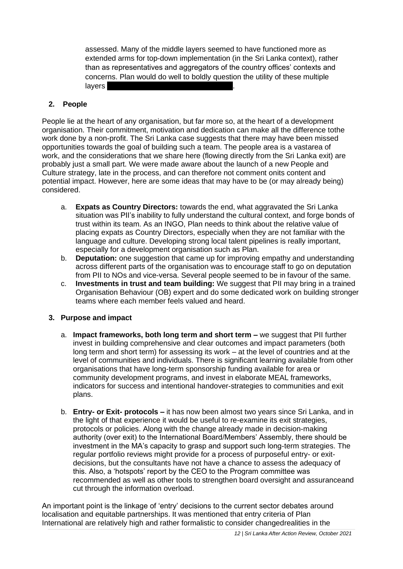assessed. Many of the middle layers seemed to have functioned more as extended arms for top-down implementation (in the Sri Lanka context), rather than as representatives and aggregators of the country offices' contexts and concerns. Plan would do well to boldly question the utility of these multiple layers b

#### **2. People**

People lie at the heart of any organisation, but far more so, at the heart of a development organisation. Their commitment, motivation and dedication can make all the difference tothe work done by a non-profit. The Sri Lanka case suggests that there may have been missed opportunities towards the goal of building such a team. The people area is a vastarea of work, and the considerations that we share here (flowing directly from the Sri Lanka exit) are probably just a small part. We were made aware about the launch of a new People and Culture strategy, late in the process, and can therefore not comment onits content and potential impact. However, here are some ideas that may have to be (or may already being) considered.

- a. **Expats as Country Directors:** towards the end, what aggravated the Sri Lanka situation was PII's inability to fully understand the cultural context, and forge bonds of trust within its team. As an INGO, Plan needs to think about the relative value of placing expats as Country Directors, especially when they are not familiar with the language and culture. Developing strong local talent pipelines is really important, especially for a development organisation such as Plan.
- b. **Deputation:** one suggestion that came up for improving empathy and understanding across different parts of the organisation was to encourage staff to go on deputation from PII to NOs and vice-versa. Several people seemed to be in favour of the same.
- c. **Investments in trust and team building:** We suggest that PII may bring in a trained Organisation Behaviour (OB) expert and do some dedicated work on building stronger teams where each member feels valued and heard.

#### **3. Purpose and impact**

- a. **Impact frameworks, both long term and short term –** we suggest that PII further invest in building comprehensive and clear outcomes and impact parameters (both long term and short term) for assessing its work – at the level of countries and at the level of communities and individuals. There is significant learning available from other organisations that have long-term sponsorship funding available for area or community development programs, and invest in elaborate MEAL frameworks, indicators for success and intentional handover-strategies to communities and exit plans.
- b. **Entry- or Exit- protocols –** it has now been almost two years since Sri Lanka, and in the light of that experience it would be useful to re-examine its exit strategies, protocols or policies. Along with the change already made in decision-making authority (over exit) to the International Board/Members' Assembly, there should be investment in the MA's capacity to grasp and support such long-term strategies. The regular portfolio reviews might provide for a process of purposeful entry- or exitdecisions, but the consultants have not have a chance to assess the adequacy of this. Also, a 'hotspots' report by the CEO to the Program committee was recommended as well as other tools to strengthen board oversight and assuranceand cut through the information overload.

An important point is the linkage of 'entry' decisions to the current sector debates around localisation and equitable partnerships. It was mentioned that entry criteria of Plan International are relatively high and rather formalistic to consider changedrealities in the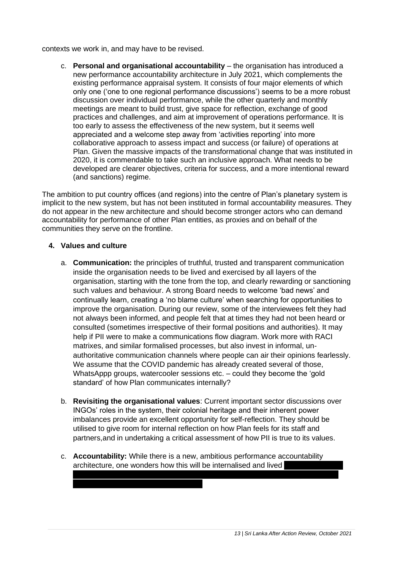contexts we work in, and may have to be revised.

c. **Personal and organisational accountability** – the organisation has introduced a new performance accountability architecture in July 2021, which complements the existing performance appraisal system. It consists of four major elements of which only one ('one to one regional performance discussions') seems to be a more robust discussion over individual performance, while the other quarterly and monthly meetings are meant to build trust, give space for reflection, exchange of good practices and challenges, and aim at improvement of operations performance. It is too early to assess the effectiveness of the new system, but it seems well appreciated and a welcome step away from 'activities reporting' into more collaborative approach to assess impact and success (or failure) of operations at Plan. Given the massive impacts of the transformational change that was instituted in 2020, it is commendable to take such an inclusive approach. What needs to be developed are clearer objectives, criteria for success, and a more intentional reward (and sanctions) regime.

The ambition to put country offices (and regions) into the centre of Plan's planetary system is implicit to the new system, but has not been instituted in formal accountability measures. They do not appear in the new architecture and should become stronger actors who can demand accountability for performance of other Plan entities, as proxies and on behalf of the communities they serve on the frontline.

#### **4. Values and culture**

- a. **Communication:** the principles of truthful, trusted and transparent communication inside the organisation needs to be lived and exercised by all layers of the organisation, starting with the tone from the top, and clearly rewarding or sanctioning such values and behaviour. A strong Board needs to welcome 'bad news' and continually learn, creating a 'no blame culture' when searching for opportunities to improve the organisation. During our review, some of the interviewees felt they had not always been informed, and people felt that at times they had not been heard or consulted (sometimes irrespective of their formal positions and authorities). It may help if PII were to make a communications flow diagram. Work more with RACI matrixes, and similar formalised processes, but also invest in informal, unauthoritative communication channels where people can air their opinions fearlessly. We assume that the COVID pandemic has already created several of those, WhatsAppp groups, watercooler sessions etc. – could they become the 'gold standard' of how Plan communicates internally?
- b. **Revisiting the organisational values**: Current important sector discussions over INGOs' roles in the system, their colonial heritage and their inherent power imbalances provide an excellent opportunity for self-reflection. They should be utilised to give room for internal reflection on how Plan feels for its staff and partners,and in undertaking a critical assessment of how PII is true to its values.
- c. **Accountability:** While there is a new, ambitious performance accountability architecture, one wonders how this will be internalised and lived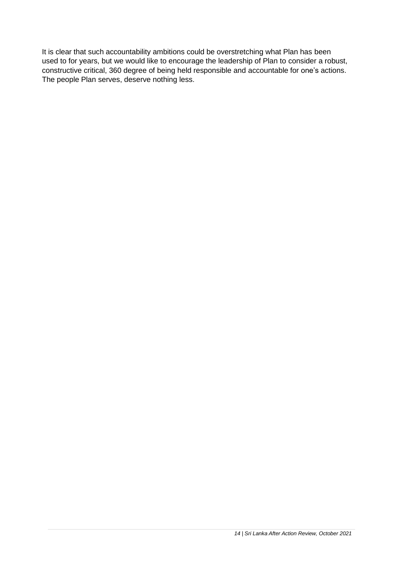It is clear that such accountability ambitions could be overstretching what Plan has been used to for years, but we would like to encourage the leadership of Plan to consider a robust, constructive critical, 360 degree of being held responsible and accountable for one's actions. The people Plan serves, deserve nothing less.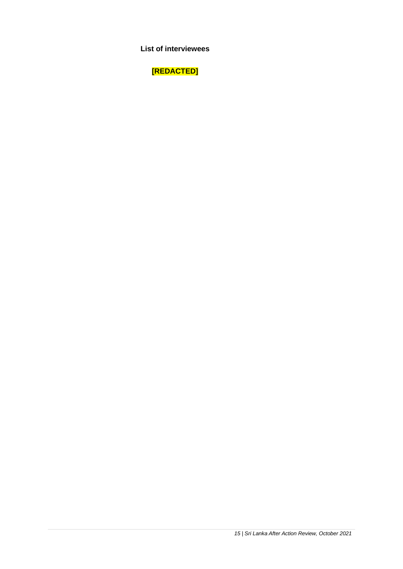**List of interviewees**

**[REDACTED]**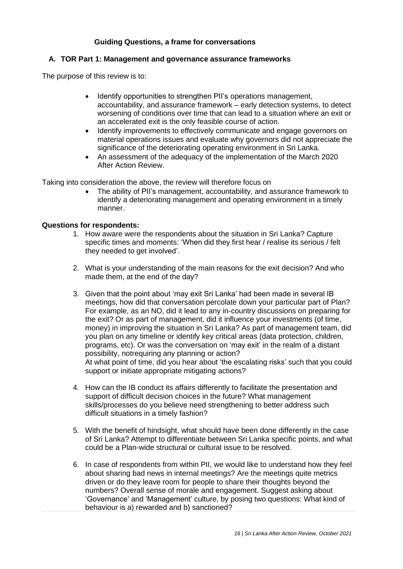#### **Guiding Questions, a frame for conversations**

#### **A. TOR Part 1: Management and governance assurance frameworks**

The purpose of this review is to:

- Identify opportunities to strengthen PII's operations management, accountability, and assurance framework – early detection systems, to detect worsening of conditions over time that can lead to a situation where an exit or an accelerated exit is the only feasible course of action.
- Identify improvements to effectively communicate and engage governors on material operations issues and evaluate why governors did not appreciate the significance of the deteriorating operating environment in Sri Lanka.
- An assessment of the adequacy of the implementation of the March 2020 After Action Review.

Taking into consideration the above, the review will therefore focus on

• The ability of PII's management, accountability, and assurance framework to identify a deteriorating management and operating environment in a timely manner.

#### **Questions for respondents:**

- 1. How aware were the respondents about the situation in Sri Lanka? Capture specific times and moments: 'When did they first hear / realise its serious / felt they needed to get involved'.
- 2. What is your understanding of the main reasons for the exit decision? And who made them, at the end of the day?
- 3. Given that the point about 'may exit Sri Lanka' had been made in several IB meetings, how did that conversation percolate down your particular part of Plan? For example, as an NO, did it lead to any in-country discussions on preparing for the exit? Or as part of management, did it influence your investments (of time, money) in improving the situation in Sri Lanka? As part of management team, did you plan on any timeline or identify key critical areas (data protection, children, programs, etc). Or was the conversation on 'may exit' in the realm of a distant possibility, notrequiring any planning or action? At what point of time, did you hear about 'the escalating risks' such that you could support or initiate appropriate mitigating actions?
- 4. How can the IB conduct its affairs differently to facilitate the presentation and support of difficult decision choices in the future? What management skills/processes do you believe need strengthening to better address such difficult situations in a timely fashion?
- 5. With the benefit of hindsight, what should have been done differently in the case of Sri Lanka? Attempt to differentiate between Sri Lanka specific points, and what could be a Plan-wide structural or cultural issue to be resolved.
- 6. In case of respondents from within PII, we would like to understand how they feel about sharing bad news in internal meetings? Are the meetings quite metrics driven or do they leave room for people to share their thoughts beyond the numbers? Overall sense of morale and engagement. Suggest asking about 'Governance' and 'Management' culture, by posing two questions: What kind of behaviour is a) rewarded and b) sanctioned?